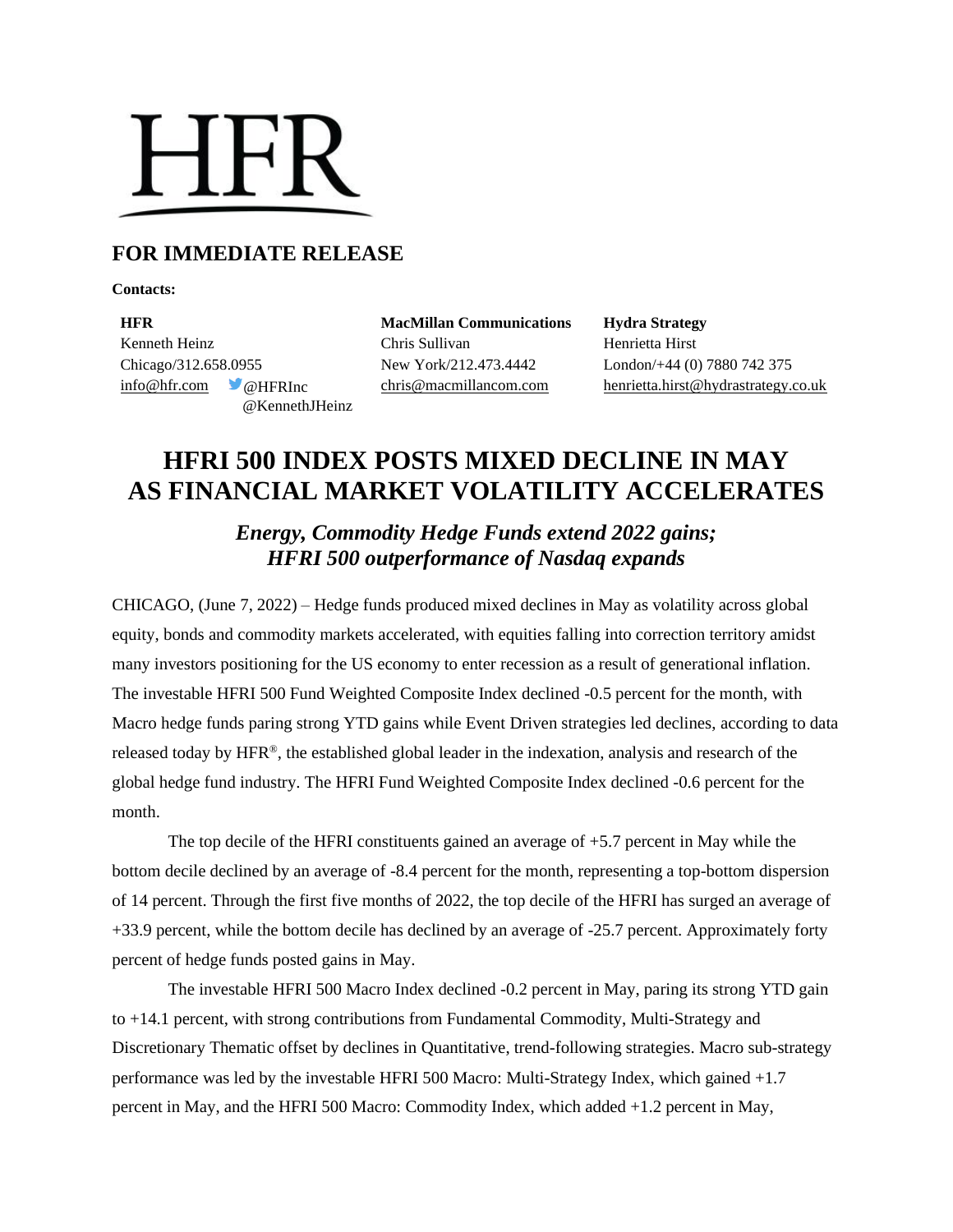# **HFR**

### **FOR IMMEDIATE RELEASE**

**Contacts:**

**HFR MacMillan Communications Hydra Strategy** Kenneth Heinz Chris Sullivan Henrietta Hirst Chicago/312.658.0955 New York/212.473.4442 London/+44 (0) 7880 742 375 @KennethJHeinz

[info@hfr.com](mailto:info@hfr.com) @HFRInc [chris@macmillancom.com](mailto:chris@macmillancom.com) henrietta.hirst@hydrastrategy.co.uk

## **HFRI 500 INDEX POSTS MIXED DECLINE IN MAY AS FINANCIAL MARKET VOLATILITY ACCELERATES**

*Energy, Commodity Hedge Funds extend 2022 gains; HFRI 500 outperformance of Nasdaq expands* 

CHICAGO, (June 7, 2022) – Hedge funds produced mixed declines in May as volatility across global equity, bonds and commodity markets accelerated, with equities falling into correction territory amidst many investors positioning for the US economy to enter recession as a result of generational inflation. The investable HFRI 500 Fund Weighted Composite Index declined -0.5 percent for the month, with Macro hedge funds paring strong YTD gains while Event Driven strategies led declines, according to data released today by HFR®, the established global leader in the indexation, analysis and research of the global hedge fund industry. The HFRI Fund Weighted Composite Index declined -0.6 percent for the month.

The top decile of the HFRI constituents gained an average of  $+5.7$  percent in May while the bottom decile declined by an average of -8.4 percent for the month, representing a top-bottom dispersion of 14 percent. Through the first five months of 2022, the top decile of the HFRI has surged an average of +33.9 percent, while the bottom decile has declined by an average of -25.7 percent. Approximately forty percent of hedge funds posted gains in May.

The investable HFRI 500 Macro Index declined -0.2 percent in May, paring its strong YTD gain to +14.1 percent, with strong contributions from Fundamental Commodity, Multi-Strategy and Discretionary Thematic offset by declines in Quantitative, trend-following strategies. Macro sub-strategy performance was led by the investable HFRI 500 Macro: Multi-Strategy Index, which gained +1.7 percent in May, and the HFRI 500 Macro: Commodity Index, which added +1.2 percent in May,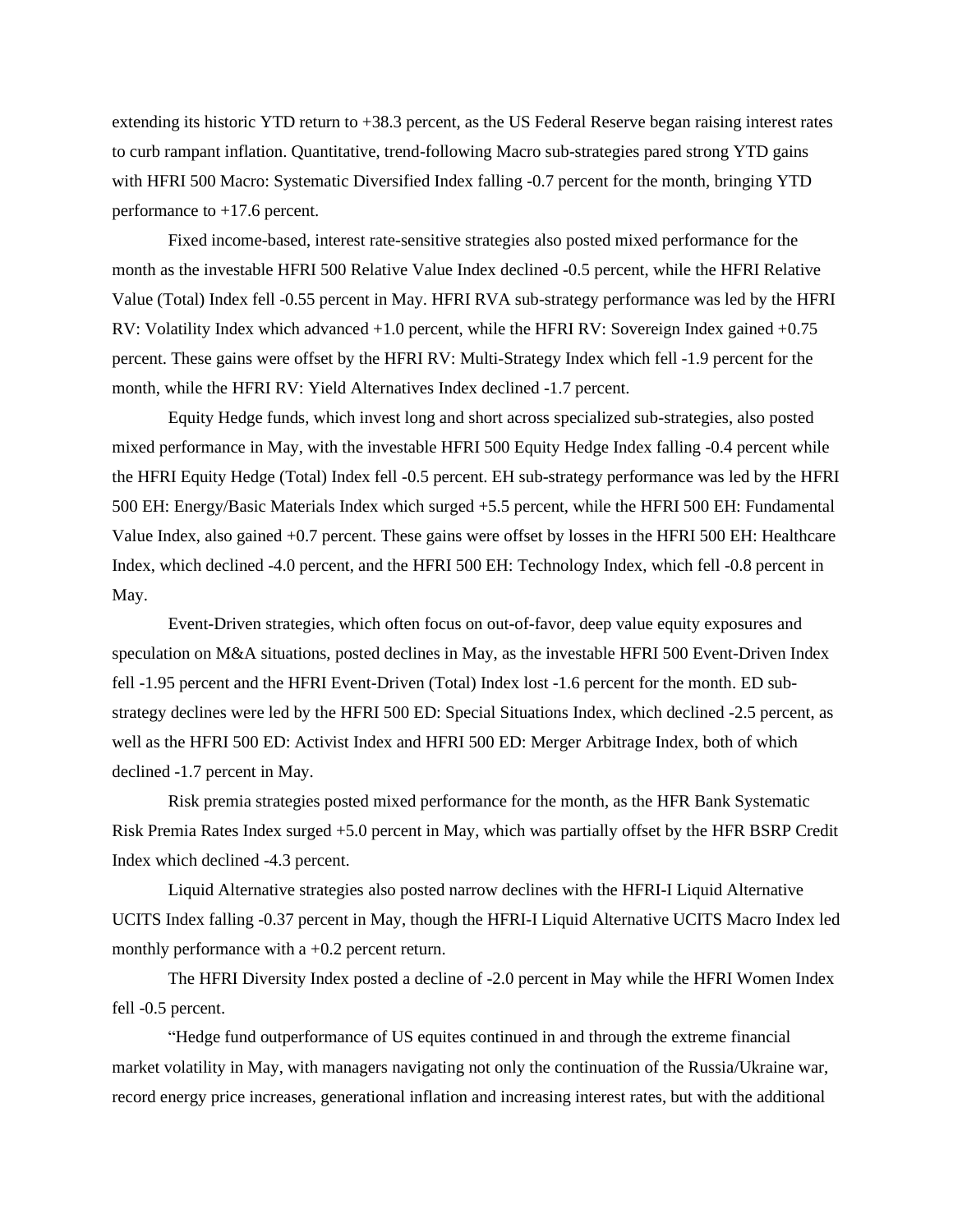extending its historic YTD return to +38.3 percent, as the US Federal Reserve began raising interest rates to curb rampant inflation. Quantitative, trend-following Macro sub-strategies pared strong YTD gains with HFRI 500 Macro: Systematic Diversified Index falling -0.7 percent for the month, bringing YTD performance to +17.6 percent.

Fixed income-based, interest rate-sensitive strategies also posted mixed performance for the month as the investable HFRI 500 Relative Value Index declined -0.5 percent, while the HFRI Relative Value (Total) Index fell -0.55 percent in May. HFRI RVA sub-strategy performance was led by the HFRI RV: Volatility Index which advanced +1.0 percent, while the HFRI RV: Sovereign Index gained +0.75 percent. These gains were offset by the HFRI RV: Multi-Strategy Index which fell -1.9 percent for the month, while the HFRI RV: Yield Alternatives Index declined -1.7 percent.

Equity Hedge funds, which invest long and short across specialized sub-strategies, also posted mixed performance in May, with the investable HFRI 500 Equity Hedge Index falling -0.4 percent while the HFRI Equity Hedge (Total) Index fell -0.5 percent. EH sub-strategy performance was led by the HFRI 500 EH: Energy/Basic Materials Index which surged +5.5 percent, while the HFRI 500 EH: Fundamental Value Index, also gained +0.7 percent. These gains were offset by losses in the HFRI 500 EH: Healthcare Index, which declined -4.0 percent, and the HFRI 500 EH: Technology Index, which fell -0.8 percent in May.

Event-Driven strategies, which often focus on out-of-favor, deep value equity exposures and speculation on M&A situations, posted declines in May, as the investable HFRI 500 Event-Driven Index fell -1.95 percent and the HFRI Event-Driven (Total) Index lost -1.6 percent for the month. ED substrategy declines were led by the HFRI 500 ED: Special Situations Index, which declined -2.5 percent, as well as the HFRI 500 ED: Activist Index and HFRI 500 ED: Merger Arbitrage Index, both of which declined -1.7 percent in May.

Risk premia strategies posted mixed performance for the month, as the HFR Bank Systematic Risk Premia Rates Index surged +5.0 percent in May, which was partially offset by the HFR BSRP Credit Index which declined -4.3 percent.

Liquid Alternative strategies also posted narrow declines with the HFRI-I Liquid Alternative UCITS Index falling -0.37 percent in May, though the HFRI-I Liquid Alternative UCITS Macro Index led monthly performance with a +0.2 percent return.

The HFRI Diversity Index posted a decline of -2.0 percent in May while the HFRI Women Index fell -0.5 percent.

"Hedge fund outperformance of US equites continued in and through the extreme financial market volatility in May, with managers navigating not only the continuation of the Russia/Ukraine war, record energy price increases, generational inflation and increasing interest rates, but with the additional